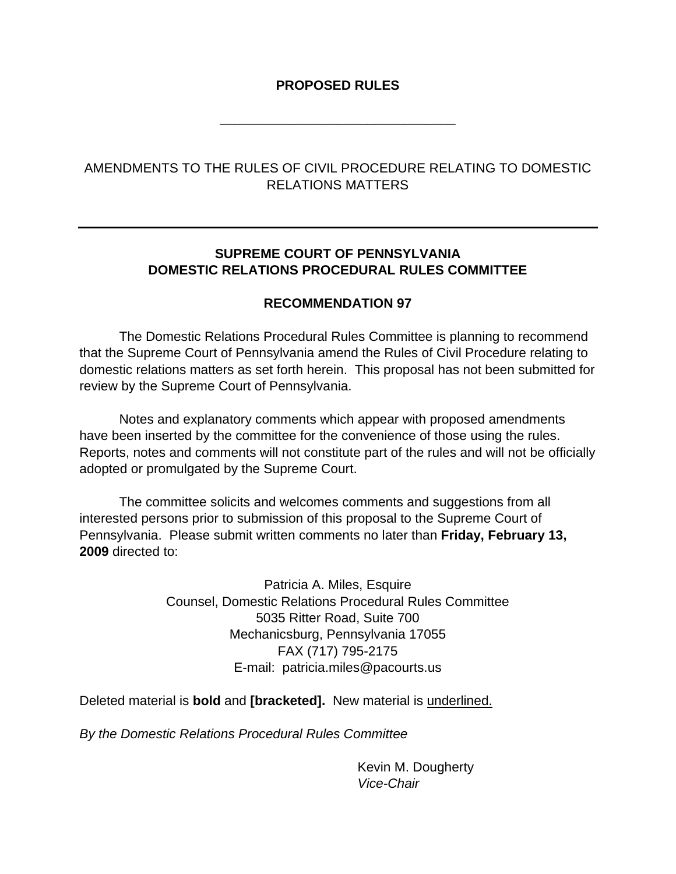# **PROPOSED RULES**

**\_\_\_\_\_\_\_\_\_\_\_\_\_\_\_\_\_\_\_\_\_\_\_\_\_\_\_\_\_\_\_\_** 

# AMENDMENTS TO THE RULES OF CIVIL PROCEDURE RELATING TO DOMESTIC RELATIONS MATTERS

# **SUPREME COURT OF PENNSYLVANIA DOMESTIC RELATIONS PROCEDURAL RULES COMMITTEE**

## **RECOMMENDATION 97**

 The Domestic Relations Procedural Rules Committee is planning to recommend that the Supreme Court of Pennsylvania amend the Rules of Civil Procedure relating to domestic relations matters as set forth herein. This proposal has not been submitted for review by the Supreme Court of Pennsylvania.

Notes and explanatory comments which appear with proposed amendments have been inserted by the committee for the convenience of those using the rules. Reports, notes and comments will not constitute part of the rules and will not be officially adopted or promulgated by the Supreme Court.

The committee solicits and welcomes comments and suggestions from all interested persons prior to submission of this proposal to the Supreme Court of Pennsylvania. Please submit written comments no later than **Friday, February 13, 2009** directed to:

> Patricia A. Miles, Esquire Counsel, Domestic Relations Procedural Rules Committee 5035 Ritter Road, Suite 700 Mechanicsburg, Pennsylvania 17055 FAX (717) 795-2175 E-mail: patricia.miles@pacourts.us

Deleted material is **bold** and **[bracketed].** New material is underlined.

*By the Domestic Relations Procedural Rules Committee* 

 Kevin M. Dougherty *Vice-Chair*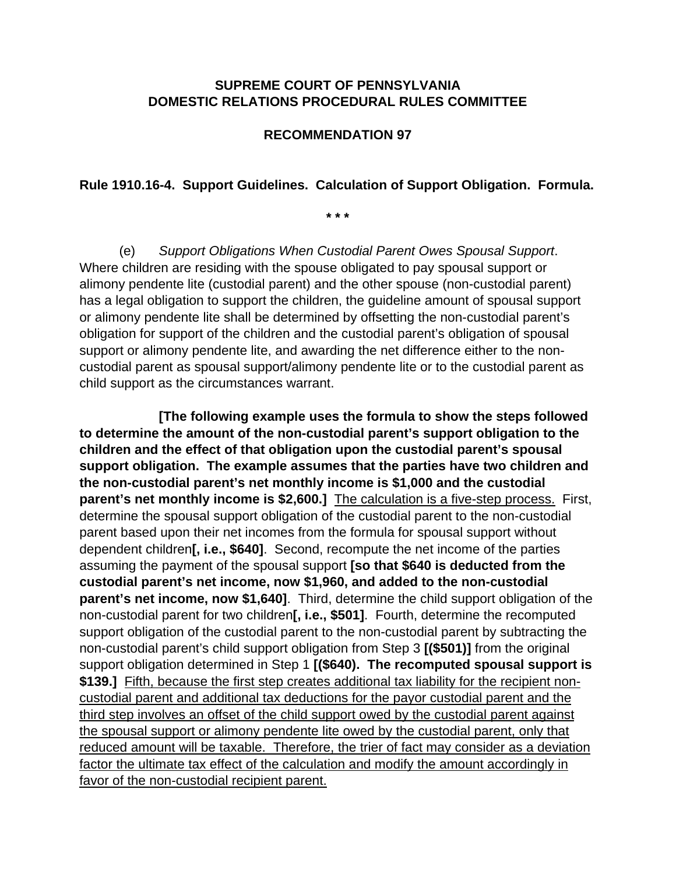## **SUPREME COURT OF PENNSYLVANIA DOMESTIC RELATIONS PROCEDURAL RULES COMMITTEE**

## **RECOMMENDATION 97**

#### **Rule 1910.16-4. Support Guidelines. Calculation of Support Obligation. Formula.**

**\* \* \*** 

 (e) *Support Obligations When Custodial Parent Owes Spousal Support*. Where children are residing with the spouse obligated to pay spousal support or alimony pendente lite (custodial parent) and the other spouse (non-custodial parent) has a legal obligation to support the children, the guideline amount of spousal support or alimony pendente lite shall be determined by offsetting the non-custodial parent's obligation for support of the children and the custodial parent's obligation of spousal support or alimony pendente lite, and awarding the net difference either to the noncustodial parent as spousal support/alimony pendente lite or to the custodial parent as child support as the circumstances warrant.

 **[The following example uses the formula to show the steps followed to determine the amount of the non-custodial parent's support obligation to the children and the effect of that obligation upon the custodial parent's spousal support obligation. The example assumes that the parties have two children and the non-custodial parent's net monthly income is \$1,000 and the custodial parent's net monthly income is \$2,600.]** The calculation is a five-step process. First, determine the spousal support obligation of the custodial parent to the non-custodial parent based upon their net incomes from the formula for spousal support without dependent children**[, i.e., \$640]**. Second, recompute the net income of the parties assuming the payment of the spousal support **[so that \$640 is deducted from the custodial parent's net income, now \$1,960, and added to the non-custodial parent's net income, now \$1,640]**. Third, determine the child support obligation of the non-custodial parent for two children**[, i.e., \$501]**. Fourth, determine the recomputed support obligation of the custodial parent to the non-custodial parent by subtracting the non-custodial parent's child support obligation from Step 3 **[(\$501)]** from the original support obligation determined in Step 1 **[(\$640). The recomputed spousal support is \$139.]** Fifth, because the first step creates additional tax liability for the recipient noncustodial parent and additional tax deductions for the payor custodial parent and the third step involves an offset of the child support owed by the custodial parent against the spousal support or alimony pendente lite owed by the custodial parent, only that reduced amount will be taxable. Therefore, the trier of fact may consider as a deviation factor the ultimate tax effect of the calculation and modify the amount accordingly in favor of the non-custodial recipient parent.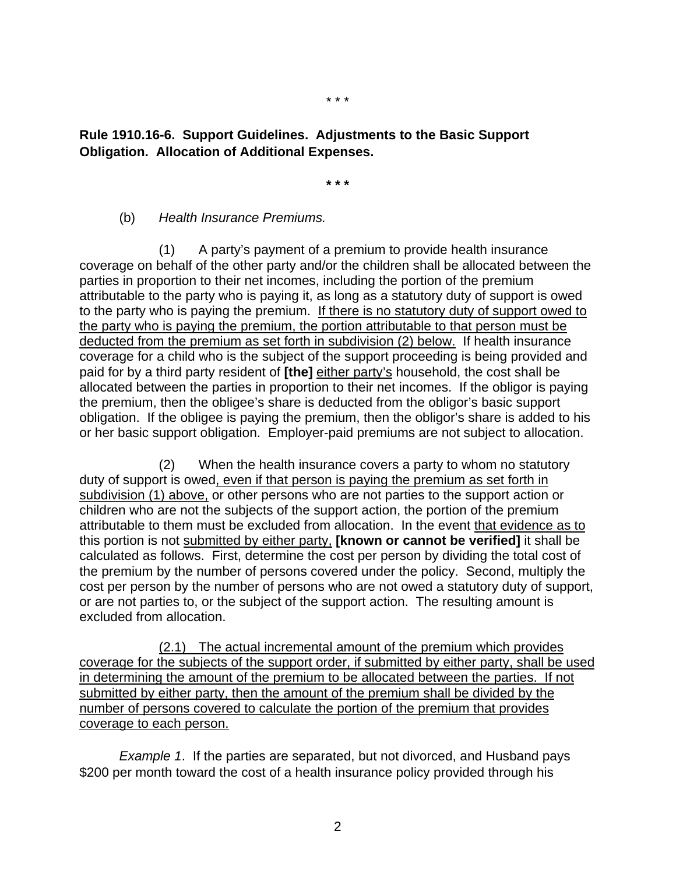## **Rule 1910.16-6. Support Guidelines. Adjustments to the Basic Support Obligation. Allocation of Additional Expenses.**

**\* \* \*** 

#### (b) *Health Insurance Premiums.*

 (1) A party's payment of a premium to provide health insurance coverage on behalf of the other party and/or the children shall be allocated between the parties in proportion to their net incomes, including the portion of the premium attributable to the party who is paying it, as long as a statutory duty of support is owed to the party who is paying the premium. If there is no statutory duty of support owed to the party who is paying the premium, the portion attributable to that person must be deducted from the premium as set forth in subdivision (2) below. If health insurance coverage for a child who is the subject of the support proceeding is being provided and paid for by a third party resident of **[the]** either party's household, the cost shall be allocated between the parties in proportion to their net incomes. If the obligor is paying the premium, then the obligee's share is deducted from the obligor's basic support obligation. If the obligee is paying the premium, then the obligor's share is added to his or her basic support obligation. Employer-paid premiums are not subject to allocation.

(2) When the health insurance covers a party to whom no statutory duty of support is owed, even if that person is paying the premium as set forth in subdivision (1) above, or other persons who are not parties to the support action or children who are not the subjects of the support action, the portion of the premium attributable to them must be excluded from allocation. In the event that evidence as to this portion is not submitted by either party, **[known or cannot be verified]** it shall be calculated as follows. First, determine the cost per person by dividing the total cost of the premium by the number of persons covered under the policy. Second, multiply the cost per person by the number of persons who are not owed a statutory duty of support, or are not parties to, or the subject of the support action. The resulting amount is excluded from allocation.

(2.1) The actual incremental amount of the premium which provides coverage for the subjects of the support order, if submitted by either party, shall be used in determining the amount of the premium to be allocated between the parties. If not submitted by either party, then the amount of the premium shall be divided by the number of persons covered to calculate the portion of the premium that provides coverage to each person.

*Example 1*. If the parties are separated, but not divorced, and Husband pays \$200 per month toward the cost of a health insurance policy provided through his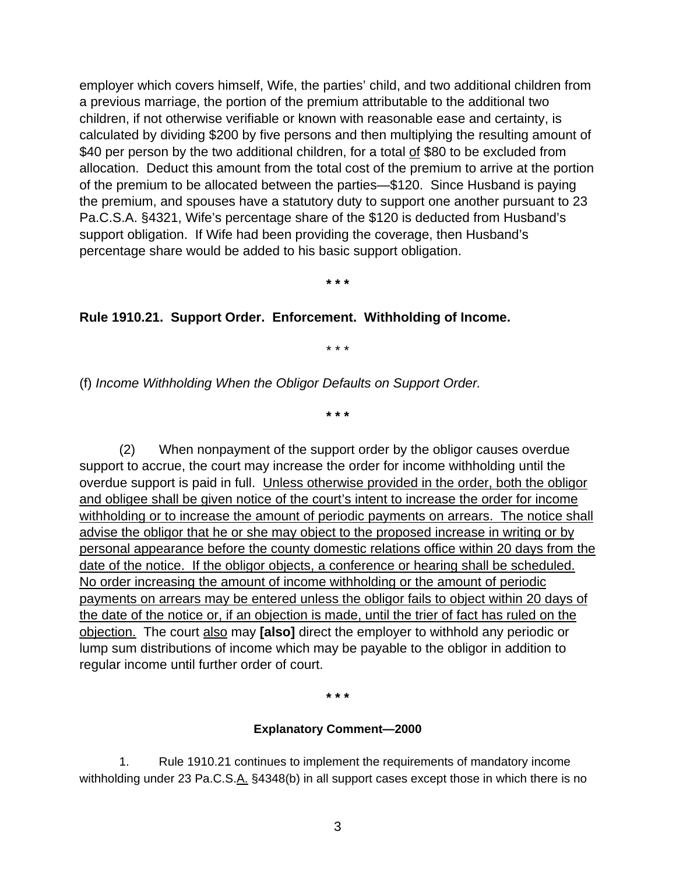employer which covers himself, Wife, the parties' child, and two additional children from a previous marriage, the portion of the premium attributable to the additional two children, if not otherwise verifiable or known with reasonable ease and certainty, is calculated by dividing \$200 by five persons and then multiplying the resulting amount of \$40 per person by the two additional children, for a total of \$80 to be excluded from allocation. Deduct this amount from the total cost of the premium to arrive at the portion of the premium to be allocated between the parties—\$120. Since Husband is paying the premium, and spouses have a statutory duty to support one another pursuant to 23 Pa.C.S.A. §4321, Wife's percentage share of the \$120 is deducted from Husband's support obligation. If Wife had been providing the coverage, then Husband's percentage share would be added to his basic support obligation.

**\* \* \*** 

#### **Rule 1910.21. Support Order. Enforcement. Withholding of Income.**

\* \* \*

(f) *Income Withholding When the Obligor Defaults on Support Order.* 

**\* \* \*** 

(2) When nonpayment of the support order by the obligor causes overdue support to accrue, the court may increase the order for income withholding until the overdue support is paid in full. Unless otherwise provided in the order, both the obligor and obligee shall be given notice of the court's intent to increase the order for income withholding or to increase the amount of periodic payments on arrears. The notice shall advise the obligor that he or she may object to the proposed increase in writing or by personal appearance before the county domestic relations office within 20 days from the date of the notice. If the obligor objects, a conference or hearing shall be scheduled. No order increasing the amount of income withholding or the amount of periodic payments on arrears may be entered unless the obligor fails to object within 20 days of the date of the notice or, if an objection is made, until the trier of fact has ruled on the objection. The court also may **[also]** direct the employer to withhold any periodic or lump sum distributions of income which may be payable to the obligor in addition to regular income until further order of court.

**\* \* \*** 

#### **Explanatory Comment—2000**

 1. Rule 1910.21 continues to implement the requirements of mandatory income withholding under 23 Pa.C.S.A. §4348(b) in all support cases except those in which there is no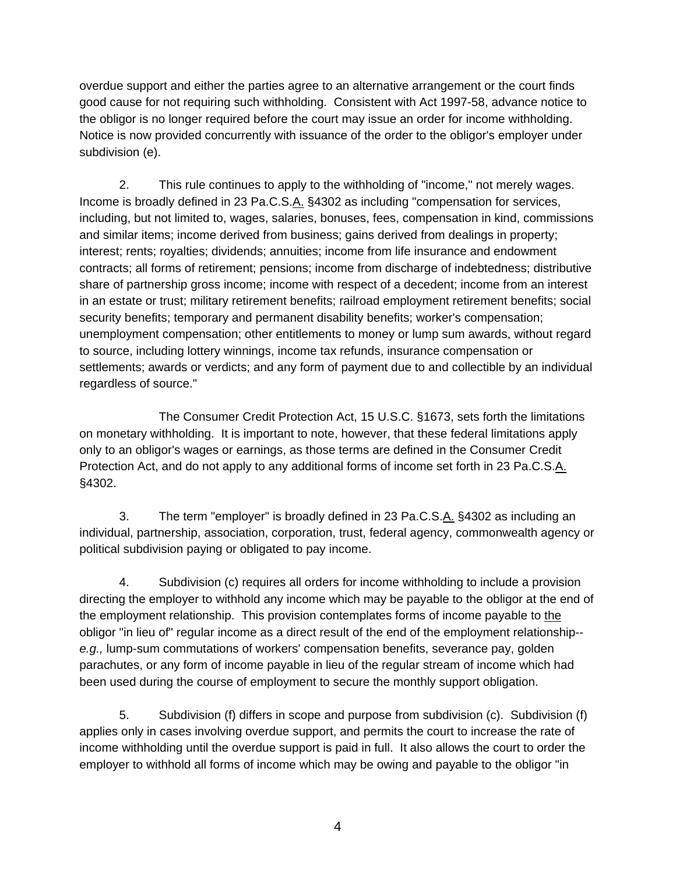overdue support and either the parties agree to an alternative arrangement or the court finds good cause for not requiring such withholding. Consistent with Act 1997-58, advance notice to the obligor is no longer required before the court may issue an order for income withholding. Notice is now provided concurrently with issuance of the order to the obligor's employer under subdivision (e).

2. This rule continues to apply to the withholding of "income," not merely wages. Income is broadly defined in 23 Pa.C.S.A. §4302 as including "compensation for services, including, but not limited to, wages, salaries, bonuses, fees, compensation in kind, commissions and similar items; income derived from business; gains derived from dealings in property; interest; rents; royalties; dividends; annuities; income from life insurance and endowment contracts; all forms of retirement; pensions; income from discharge of indebtedness; distributive share of partnership gross income; income with respect of a decedent; income from an interest in an estate or trust; military retirement benefits; railroad employment retirement benefits; social security benefits; temporary and permanent disability benefits; worker's compensation; unemployment compensation; other entitlements to money or lump sum awards, without regard to source, including lottery winnings, income tax refunds, insurance compensation or settlements; awards or verdicts; and any form of payment due to and collectible by an individual regardless of source."

 The Consumer Credit Protection Act, 15 U.S.C. §1673, sets forth the limitations on monetary withholding. It is important to note, however, that these federal limitations apply only to an obligor's wages or earnings, as those terms are defined in the Consumer Credit Protection Act, and do not apply to any additional forms of income set forth in 23 Pa.C.S.A. §4302.

3. The term "employer" is broadly defined in 23 Pa.C.S.A. §4302 as including an individual, partnership, association, corporation, trust, federal agency, commonwealth agency or political subdivision paying or obligated to pay income.

4. Subdivision (c) requires all orders for income withholding to include a provision directing the employer to withhold any income which may be payable to the obligor at the end of the employment relationship. This provision contemplates forms of income payable to the obligor "in lieu of" regular income as a direct result of the end of the employment relationship- *e.g.,* lump-sum commutations of workers' compensation benefits, severance pay, golden parachutes, or any form of income payable in lieu of the regular stream of income which had been used during the course of employment to secure the monthly support obligation.

5. Subdivision (f) differs in scope and purpose from subdivision (c). Subdivision (f) applies only in cases involving overdue support, and permits the court to increase the rate of income withholding until the overdue support is paid in full. It also allows the court to order the employer to withhold all forms of income which may be owing and payable to the obligor "in

4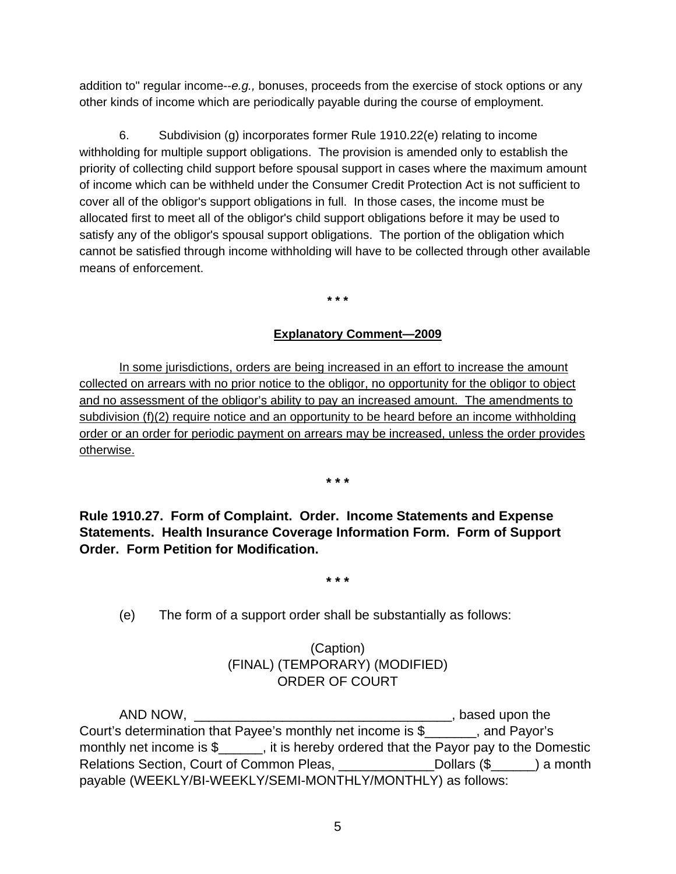addition to" regular income--*e.g.,* bonuses, proceeds from the exercise of stock options or any other kinds of income which are periodically payable during the course of employment.

6. Subdivision (g) incorporates former Rule 1910.22(e) relating to income withholding for multiple support obligations. The provision is amended only to establish the priority of collecting child support before spousal support in cases where the maximum amount of income which can be withheld under the Consumer Credit Protection Act is not sufficient to cover all of the obligor's support obligations in full. In those cases, the income must be allocated first to meet all of the obligor's child support obligations before it may be used to satisfy any of the obligor's spousal support obligations. The portion of the obligation which cannot be satisfied through income withholding will have to be collected through other available means of enforcement.

**\* \* \*** 

## **Explanatory Comment—2009**

In some jurisdictions, orders are being increased in an effort to increase the amount collected on arrears with no prior notice to the obligor, no opportunity for the obligor to object and no assessment of the obligor's ability to pay an increased amount. The amendments to subdivision (f)(2) require notice and an opportunity to be heard before an income withholding order or an order for periodic payment on arrears may be increased, unless the order provides otherwise.

**\* \* \*** 

**Rule 1910.27. Form of Complaint. Order. Income Statements and Expense Statements. Health Insurance Coverage Information Form. Form of Support Order. Form Petition for Modification.** 

**\* \* \*** 

(e) The form of a support order shall be substantially as follows:

# (Caption) (FINAL) (TEMPORARY) (MODIFIED) ORDER OF COURT

 AND NOW, \_\_\_\_\_\_\_\_\_\_\_\_\_\_\_\_\_\_\_\_\_\_\_\_\_\_\_\_\_\_\_\_\_\_\_, based upon the Court's determination that Payee's monthly net income is \$\_\_\_\_\_\_\_, and Payor's monthly net income is \$\_\_\_\_\_, it is hereby ordered that the Payor pay to the Domestic Relations Section, Court of Common Pleas, \_\_\_\_\_\_\_\_\_\_\_\_\_\_Dollars (\$\_\_\_\_\_) a month payable (WEEKLY/BI-WEEKLY/SEMI-MONTHLY/MONTHLY) as follows: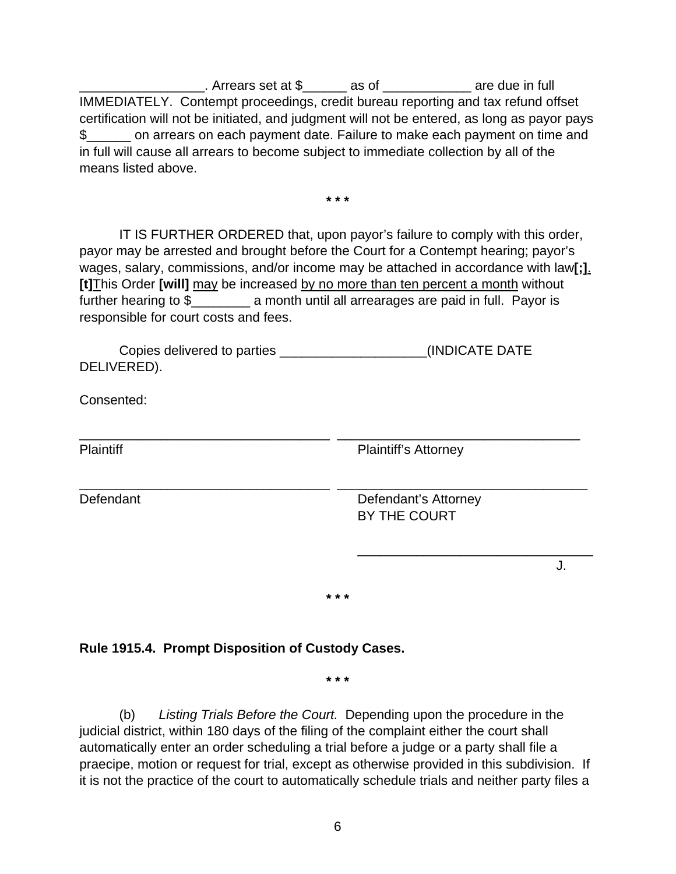$\therefore$  Arrears set at \$  $\qquad \qquad$  as of  $\qquad \qquad$  are due in full IMMEDIATELY. Contempt proceedings, credit bureau reporting and tax refund offset certification will not be initiated, and judgment will not be entered, as long as payor pays \$\_\_\_\_\_\_ on arrears on each payment date. Failure to make each payment on time and in full will cause all arrears to become subject to immediate collection by all of the means listed above.

**\* \* \***

 IT IS FURTHER ORDERED that, upon payor's failure to comply with this order, payor may be arrested and brought before the Court for a Contempt hearing; payor's wages, salary, commissions, and/or income may be attached in accordance with law**[;]**. **[t]**This Order **[will]** may be increased by no more than ten percent a month without further hearing to \$ a month until all arrearages are paid in full. Payor is responsible for court costs and fees.

\_\_\_\_\_\_\_\_\_\_\_\_\_\_\_\_\_\_\_\_\_\_\_\_\_\_\_\_\_\_\_\_\_\_ \_\_\_\_\_\_\_\_\_\_\_\_\_\_\_\_\_\_\_\_\_\_\_\_\_\_\_\_\_\_\_\_\_

\_\_\_\_\_\_\_\_\_\_\_\_\_\_\_\_\_\_\_\_\_\_\_\_\_\_\_\_\_\_\_\_\_\_ \_\_\_\_\_\_\_\_\_\_\_\_\_\_\_\_\_\_\_\_\_\_\_\_\_\_\_\_\_\_\_\_\_\_

 Copies delivered to parties \_\_\_\_\_\_\_\_\_\_\_\_\_\_\_\_\_\_\_\_(INDICATE DATE DELIVERED).

Consented:

Plaintiff Plaintiff Plaintiff's Attorney

Defendant Defendant's Attorney BY THE COURT

J.

**\* \* \*** 

 $\overline{\phantom{a}}$  , and the contract of the contract of the contract of the contract of the contract of the contract of the contract of the contract of the contract of the contract of the contract of the contract of the contrac

**Rule 1915.4. Prompt Disposition of Custody Cases.** 

**\* \* \*** 

 (b) *Listing Trials Before the Court.* Depending upon the procedure in the judicial district, within 180 days of the filing of the complaint either the court shall automatically enter an order scheduling a trial before a judge or a party shall file a praecipe, motion or request for trial, except as otherwise provided in this subdivision. If it is not the practice of the court to automatically schedule trials and neither party files a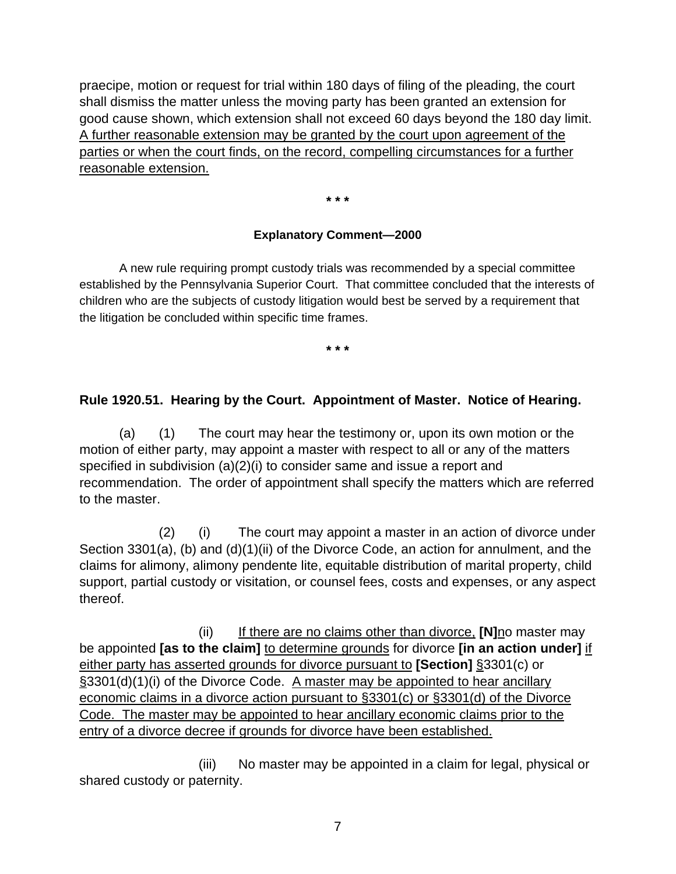praecipe, motion or request for trial within 180 days of filing of the pleading, the court shall dismiss the matter unless the moving party has been granted an extension for good cause shown, which extension shall not exceed 60 days beyond the 180 day limit. A further reasonable extension may be granted by the court upon agreement of the parties or when the court finds, on the record, compelling circumstances for a further reasonable extension.

**\* \* \*** 

#### **Explanatory Comment—2000**

 A new rule requiring prompt custody trials was recommended by a special committee established by the Pennsylvania Superior Court. That committee concluded that the interests of children who are the subjects of custody litigation would best be served by a requirement that the litigation be concluded within specific time frames.

**\* \* \***

## **Rule 1920.51. Hearing by the Court. Appointment of Master. Notice of Hearing.**

 (a) (1) The court may hear the testimony or, upon its own motion or the motion of either party, may appoint a master with respect to all or any of the matters specified in subdivision (a)(2)(i) to consider same and issue a report and recommendation. The order of appointment shall specify the matters which are referred to the master.

 (2) (i) The court may appoint a master in an action of divorce under Section 3301(a), (b) and (d)(1)(ii) of the Divorce Code, an action for annulment, and the claims for alimony, alimony pendente lite, equitable distribution of marital property, child support, partial custody or visitation, or counsel fees, costs and expenses, or any aspect thereof.

 (ii) If there are no claims other than divorce, **[N]**no master may be appointed **[as to the claim]** to determine grounds for divorce **[in an action under]** if either party has asserted grounds for divorce pursuant to **[Section]** §3301(c) or §3301(d)(1)(i) of the Divorce Code. A master may be appointed to hear ancillary economic claims in a divorce action pursuant to §3301(c) or §3301(d) of the Divorce Code. The master may be appointed to hear ancillary economic claims prior to the entry of a divorce decree if grounds for divorce have been established.

 (iii) No master may be appointed in a claim for legal, physical or shared custody or paternity.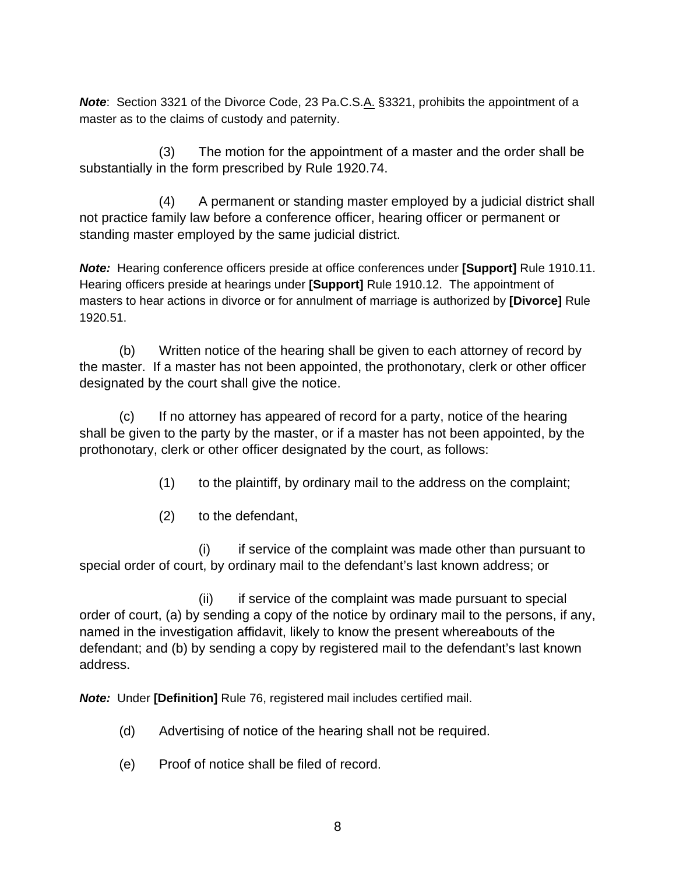**Note:** Section 3321 of the Divorce Code, 23 Pa.C.S.A. §3321, prohibits the appointment of a master as to the claims of custody and paternity.

 (3) The motion for the appointment of a master and the order shall be substantially in the form prescribed by Rule 1920.74.

 (4) A permanent or standing master employed by a judicial district shall not practice family law before a conference officer, hearing officer or permanent or standing master employed by the same judicial district.

*Note:* Hearing conference officers preside at office conferences under **[Support]** Rule 1910.11. Hearing officers preside at hearings under **[Support]** Rule 1910.12. The appointment of masters to hear actions in divorce or for annulment of marriage is authorized by **[Divorce]** Rule 1920.51.

 (b) Written notice of the hearing shall be given to each attorney of record by the master. If a master has not been appointed, the prothonotary, clerk or other officer designated by the court shall give the notice.

 (c) If no attorney has appeared of record for a party, notice of the hearing shall be given to the party by the master, or if a master has not been appointed, by the prothonotary, clerk or other officer designated by the court, as follows:

- (1) to the plaintiff, by ordinary mail to the address on the complaint;
- (2) to the defendant,

 (i) if service of the complaint was made other than pursuant to special order of court, by ordinary mail to the defendant's last known address; or

 (ii) if service of the complaint was made pursuant to special order of court, (a) by sending a copy of the notice by ordinary mail to the persons, if any, named in the investigation affidavit, likely to know the present whereabouts of the defendant; and (b) by sending a copy by registered mail to the defendant's last known address.

*Note:* Under **[Definition]** Rule 76, registered mail includes certified mail.

- (d) Advertising of notice of the hearing shall not be required.
- (e) Proof of notice shall be filed of record.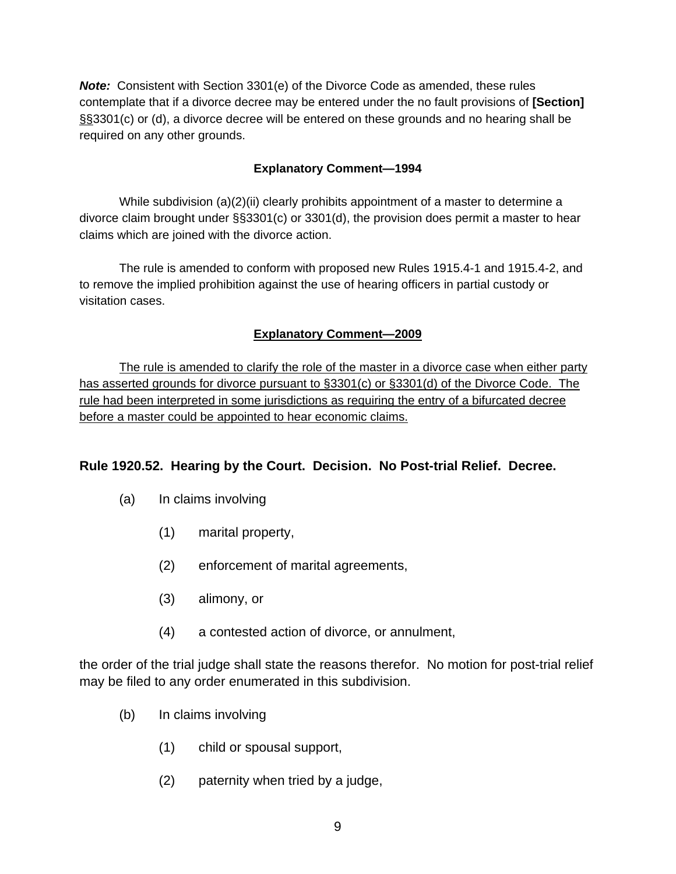*Note:* Consistent with Section 3301(e) of the Divorce Code as amended, these rules contemplate that if a divorce decree may be entered under the no fault provisions of **[Section]** §§3301(c) or (d), a divorce decree will be entered on these grounds and no hearing shall be required on any other grounds.

## **Explanatory Comment—1994**

While subdivision (a)(2)(ii) clearly prohibits appointment of a master to determine a divorce claim brought under §§3301(c) or 3301(d), the provision does permit a master to hear claims which are joined with the divorce action.

 The rule is amended to conform with proposed new Rules 1915.4-1 and 1915.4-2, and to remove the implied prohibition against the use of hearing officers in partial custody or visitation cases.

# **Explanatory Comment—2009**

 The rule is amended to clarify the role of the master in a divorce case when either party has asserted grounds for divorce pursuant to §3301(c) or §3301(d) of the Divorce Code. The rule had been interpreted in some jurisdictions as requiring the entry of a bifurcated decree before a master could be appointed to hear economic claims.

# **Rule 1920.52. Hearing by the Court. Decision. No Post-trial Relief. Decree.**

- (a) In claims involving
	- (1) marital property,
	- (2) enforcement of marital agreements,
	- (3) alimony, or
	- (4) a contested action of divorce, or annulment,

the order of the trial judge shall state the reasons therefor. No motion for post-trial relief may be filed to any order enumerated in this subdivision.

- (b) In claims involving
	- (1) child or spousal support,
	- (2) paternity when tried by a judge,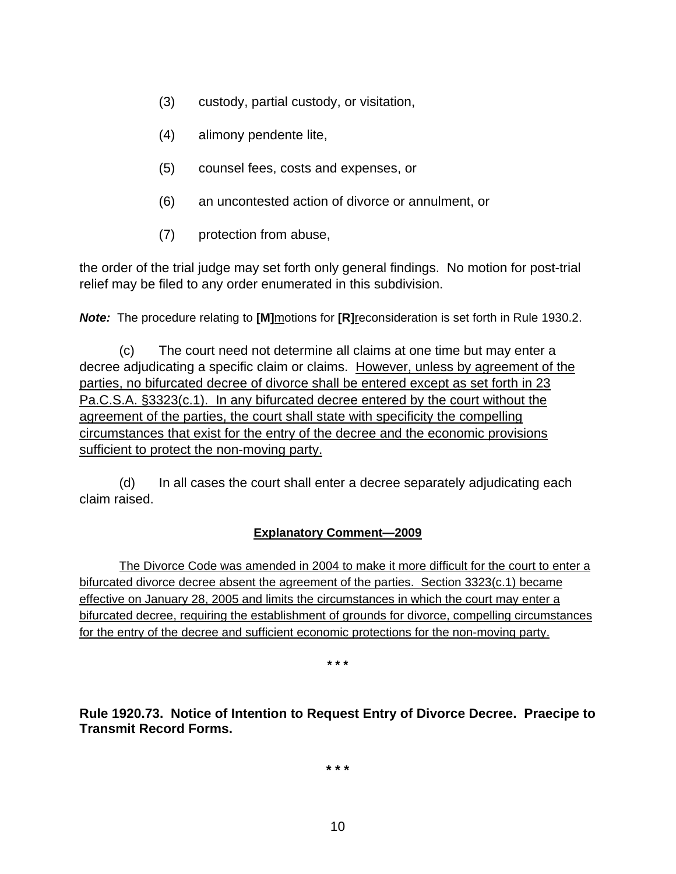- (3) custody, partial custody, or visitation,
- (4) alimony pendente lite,
- (5) counsel fees, costs and expenses, or
- (6) an uncontested action of divorce or annulment, or
- (7) protection from abuse,

the order of the trial judge may set forth only general findings. No motion for post-trial relief may be filed to any order enumerated in this subdivision.

*Note:* The procedure relating to **[M]**motions for **[R]**reconsideration is set forth in Rule 1930.2.

 (c) The court need not determine all claims at one time but may enter a decree adjudicating a specific claim or claims. However, unless by agreement of the parties, no bifurcated decree of divorce shall be entered except as set forth in 23 Pa.C.S.A. §3323(c.1). In any bifurcated decree entered by the court without the agreement of the parties, the court shall state with specificity the compelling circumstances that exist for the entry of the decree and the economic provisions sufficient to protect the non-moving party.

 (d) In all cases the court shall enter a decree separately adjudicating each claim raised.

## **Explanatory Comment—2009**

The Divorce Code was amended in 2004 to make it more difficult for the court to enter a bifurcated divorce decree absent the agreement of the parties. Section 3323(c.1) became effective on January 28, 2005 and limits the circumstances in which the court may enter a bifurcated decree, requiring the establishment of grounds for divorce, compelling circumstances for the entry of the decree and sufficient economic protections for the non-moving party.

**\* \* \*** 

**Rule 1920.73. Notice of Intention to Request Entry of Divorce Decree. Praecipe to Transmit Record Forms.** 

**\* \* \***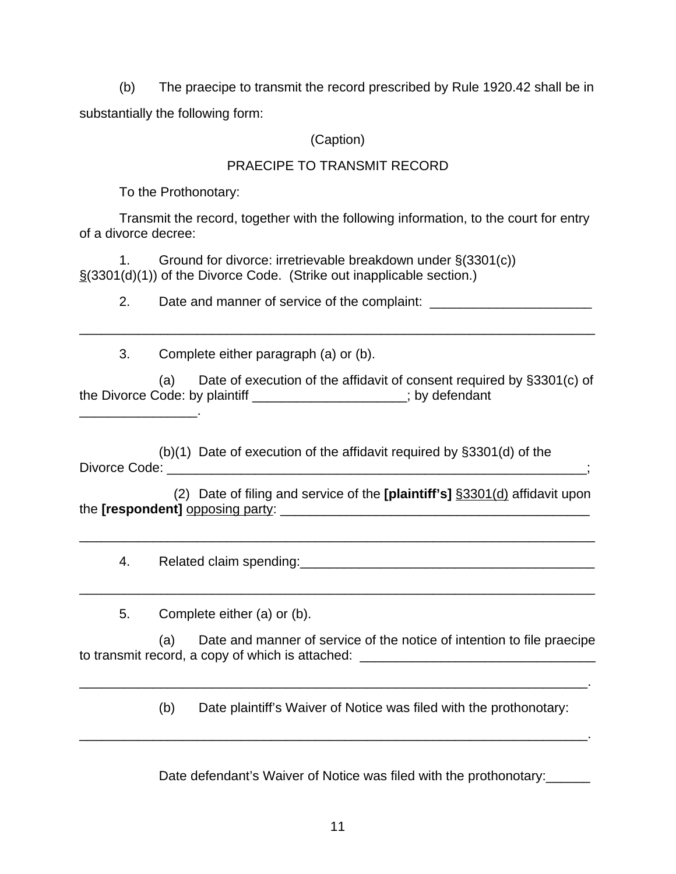(b) The praecipe to transmit the record prescribed by Rule 1920.42 shall be in substantially the following form:

# (Caption)

# PRAECIPE TO TRANSMIT RECORD

To the Prothonotary:

\_\_\_\_\_\_\_\_\_\_\_\_\_\_\_\_.

 Transmit the record, together with the following information, to the court for entry of a divorce decree:

 1. Ground for divorce: irretrievable breakdown under §(3301(c)) §(3301(d)(1)) of the Divorce Code. (Strike out inapplicable section.)

2. Date and manner of service of the complaint:

3. Complete either paragraph (a) or (b).

 (a) Date of execution of the affidavit of consent required by §3301(c) of the Divorce Code: by plaintiff **the community** : by defendant

\_\_\_\_\_\_\_\_\_\_\_\_\_\_\_\_\_\_\_\_\_\_\_\_\_\_\_\_\_\_\_\_\_\_\_\_\_\_\_\_\_\_\_\_\_\_\_\_\_\_\_\_\_\_\_\_\_\_\_\_\_\_\_\_\_\_\_\_\_\_

 (b)(1) Date of execution of the affidavit required by §3301(d) of the Divorce Code: \_\_\_\_\_\_\_\_\_\_\_\_\_\_\_\_\_\_\_\_\_\_\_\_\_\_\_\_\_\_\_\_\_\_\_\_\_\_\_\_\_\_\_\_\_\_\_\_\_\_\_\_\_\_\_\_\_;

 (2) Date of filing and service of the **[plaintiff's]** §3301(d) affidavit upon the **[respondent]** opposing party: \_\_\_\_\_\_\_\_\_\_\_\_\_\_\_\_\_\_\_\_\_\_\_\_\_\_\_\_\_\_\_\_\_\_\_\_\_\_\_\_\_\_

\_\_\_\_\_\_\_\_\_\_\_\_\_\_\_\_\_\_\_\_\_\_\_\_\_\_\_\_\_\_\_\_\_\_\_\_\_\_\_\_\_\_\_\_\_\_\_\_\_\_\_\_\_\_\_\_\_\_\_\_\_\_\_\_\_\_\_\_\_\_

\_\_\_\_\_\_\_\_\_\_\_\_\_\_\_\_\_\_\_\_\_\_\_\_\_\_\_\_\_\_\_\_\_\_\_\_\_\_\_\_\_\_\_\_\_\_\_\_\_\_\_\_\_\_\_\_\_\_\_\_\_\_\_\_\_\_\_\_\_\_

4. Related claim spending:\_\_\_\_\_\_\_\_\_\_\_\_\_\_\_\_\_\_\_\_\_\_\_\_\_\_\_\_\_\_\_\_\_\_\_\_\_\_\_\_

5. Complete either (a) or (b).

 (a) Date and manner of service of the notice of intention to file praecipe to transmit record, a copy of which is attached: \_\_\_\_\_\_\_\_\_\_\_\_\_\_\_\_\_\_\_\_\_\_\_\_\_\_\_\_\_\_\_\_

\_\_\_\_\_\_\_\_\_\_\_\_\_\_\_\_\_\_\_\_\_\_\_\_\_\_\_\_\_\_\_\_\_\_\_\_\_\_\_\_\_\_\_\_\_\_\_\_\_\_\_\_\_\_\_\_\_\_\_\_\_\_\_\_\_\_\_\_\_.

\_\_\_\_\_\_\_\_\_\_\_\_\_\_\_\_\_\_\_\_\_\_\_\_\_\_\_\_\_\_\_\_\_\_\_\_\_\_\_\_\_\_\_\_\_\_\_\_\_\_\_\_\_\_\_\_\_\_\_\_\_\_\_\_\_\_\_\_\_.

(b) Date plaintiff's Waiver of Notice was filed with the prothonotary:

Date defendant's Waiver of Notice was filed with the prothonotary: